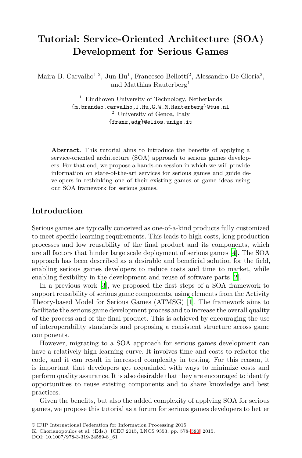# **Tutorial: Service-Oriented Architecture (SOA) Development for Serious Games**

Maira B. Carvalho<sup>1,2</sup>, Jun Hu<sup>1</sup>, Francesco Bellotti<sup>2</sup>, Alessandro De Gloria<sup>2</sup>, and Matthias Rauterberg<sup>1</sup>

> $1$  Eindhoven University of Technology, Netherlands {m.brandao.carvalho,J.Hu,G.W.M.Rauterberg}@tue.nl <sup>2</sup> University of Genoa, Italy {franz,adg}@elios.unige.it

**Abstract.** This tutorial aims to introduce the benefits of applying a service-oriented architecture (SOA) approach to serious games developers. For that end, we propose a hands-on session in which we will provide information on state-of-the-art services for serious games and guide developers in rethinking one of their existing games or game ideas using our SOA framework for serious games.

### **Introduction**

Serio[us](#page-2-0) games are typically conceived as one-of-a-kind products fully customized to meet specific learning requirem[en](#page-2-1)ts. This leads to high costs, long production processes and low reusability of the final product and its components, which are all factors that hinder large scale deployment of serious games [4]. The SOA approach has been described as a desirable and beneficial solution for the field, enabling serious games developers to reduce costs and time to market, while enabling flexibility in the development and reuse of software parts [2].

In a previous work [3], we proposed the first steps of a SOA framework to support reusability of serious game components, using elements from the Activity Theory-based Model for Serious Games (ATMSG) [1]. The framework aims to facilitate the serious game development process and to increase the overall quality of the process and of the final product. This is achieved by encouraging the use of interoperability standards and proposing a consistent structure across game components.

However, migrating to a SOA approach for serious games development can have a relatively high learning curve. It involves time and costs to refactor the code, and it can result in increased complexity in testing. For this reason, it is important that developers get [acqu](#page-2-2)ainted with ways to minimize costs and perform quality assurance. It is also desirable that they are encouraged to identify opportunities to reuse existing components and to share knowledge and best practices.

Given the benefits, but also the added complexity of applying SOA for serious games, we propose this tutorial as a forum for serious games developers to better

DOI: 10.1007/978-3-319-24589-8\_61

<sup>©</sup> IFIP International Federation for Information Processing 2015

K. Chorianopoulos et al. (Eds.): ICEC 2015, LNCS 9353, pp. 578–580, 2015.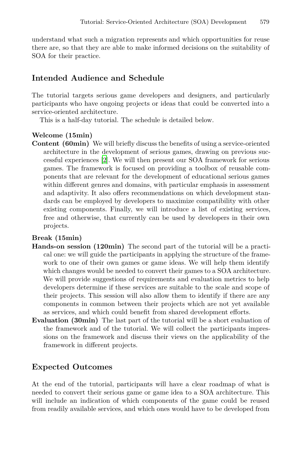understand what such a migration represents and which opportunities for reuse there are, so that they are able to make informed decisions on the suitability of SOA for their practice.

# **Intended Audience and Schedule**

The [tu](#page-2-3)torial targets serious game developers and designers, and particularly participants who have ongoing projects or ideas that could be converted into a service-oriented architecture.

This is a half-day tutorial. The schedule is detailed below.

#### **Welcome (15min)**

**Content (60min)** We will briefly discuss the benefits of using a service-oriented architecture in the development of serious games, drawing on previous successful experiences [2]. We will then present our SOA framework for serious games. The framework is focused on providing a toolbox of reusable components that are relevant for the development of educational serious games within different genres and domains, with particular emphasis in assessment and adaptivity. It also offers recommendations on which development standards can be employed by developers to maximize compatibility with other existing components. Finally, we will introduce a list of existing services, free and otherwise, that currently can be used by developers in their own projects.

#### **Break (15min)**

- **Hands-on session (120min)** The second part of the tutorial will be a practical one: we will guide the participants in applying the structure of the framework to one of their own games or game ideas. We will help them identify which changes would be needed to convert their games to a SOA architecture. We will provide suggestions of requirements and evaluation metrics to help developers determine if these services are suitable to the scale and scope of their projects. This session will also allow them to identify if there are any components in common between their projects which are not yet available as services, and which could benefit from shared development efforts.
- **Evaluation (30min)** The last part of the tutorial will be a short evaluation of the framework and of the tutorial. We will collect the participants impressions on the framework and discuss their views on the applicability of the framework in different projects.

## **Expected Outcomes**

At the end of the tutorial, participants will have a clear roadmap of what is needed to convert their serious game or game idea to a SOA architecture. This will include an indication of which components of the game could be reused from readily available services, and which ones would have to be developed from